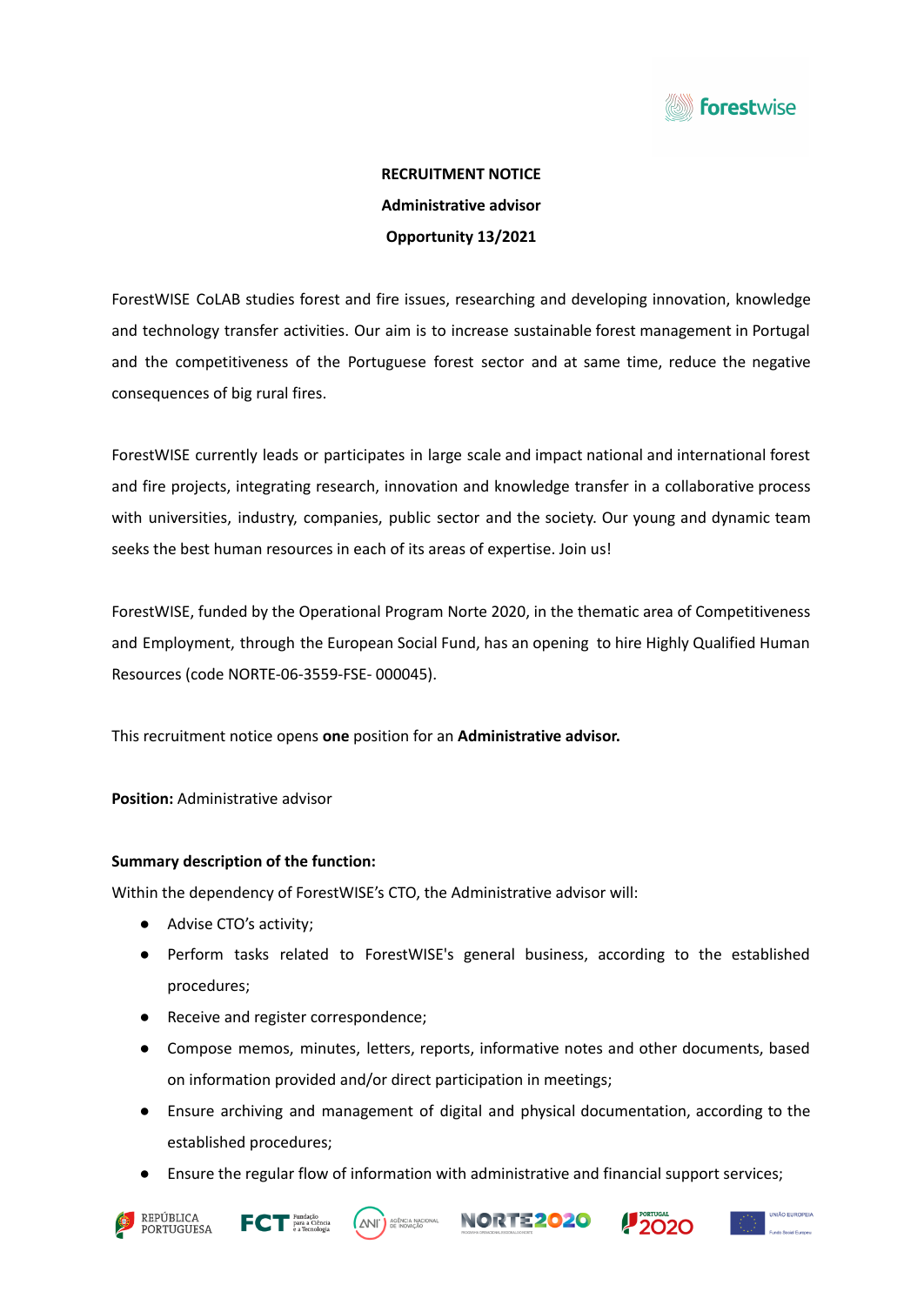

# **RECRUITMENT NOTICE Administrative advisor Opportunity 13/2021**

ForestWISE CoLAB studies forest and fire issues, researching and developing innovation, knowledge and technology transfer activities. Our aim is to increase sustainable forest management in Portugal and the competitiveness of the Portuguese forest sector and at same time, reduce the negative consequences of big rural fires.

ForestWISE currently leads or participates in large scale and impact national and international forest and fire projects, integrating research, innovation and knowledge transfer in a collaborative process with universities, industry, companies, public sector and the society. Our young and dynamic team seeks the best human resources in each of its areas of expertise. Join us!

ForestWISE, funded by the Operational Program Norte 2020, in the thematic area of Competitiveness and Employment, through the European Social Fund, has an opening to hire Highly Qualified Human Resources (code NORTE-06-3559-FSE- 000045).

This recruitment notice opens **one** position for an **Administrative advisor.**

## **Position:** Administrative advisor

## **Summary description of the function:**

Within the dependency of ForestWISE's CTO, the Administrative advisor will:

- Advise CTO's activity;
- Perform tasks related to ForestWISE's general business, according to the established procedures;
- Receive and register correspondence;
- Compose memos, minutes, letters, reports, informative notes and other documents, based on information provided and/or direct participation in meetings;
- Ensure archiving and management of digital and physical documentation, according to the established procedures;
- Ensure the regular flow of information with administrative and financial support services;









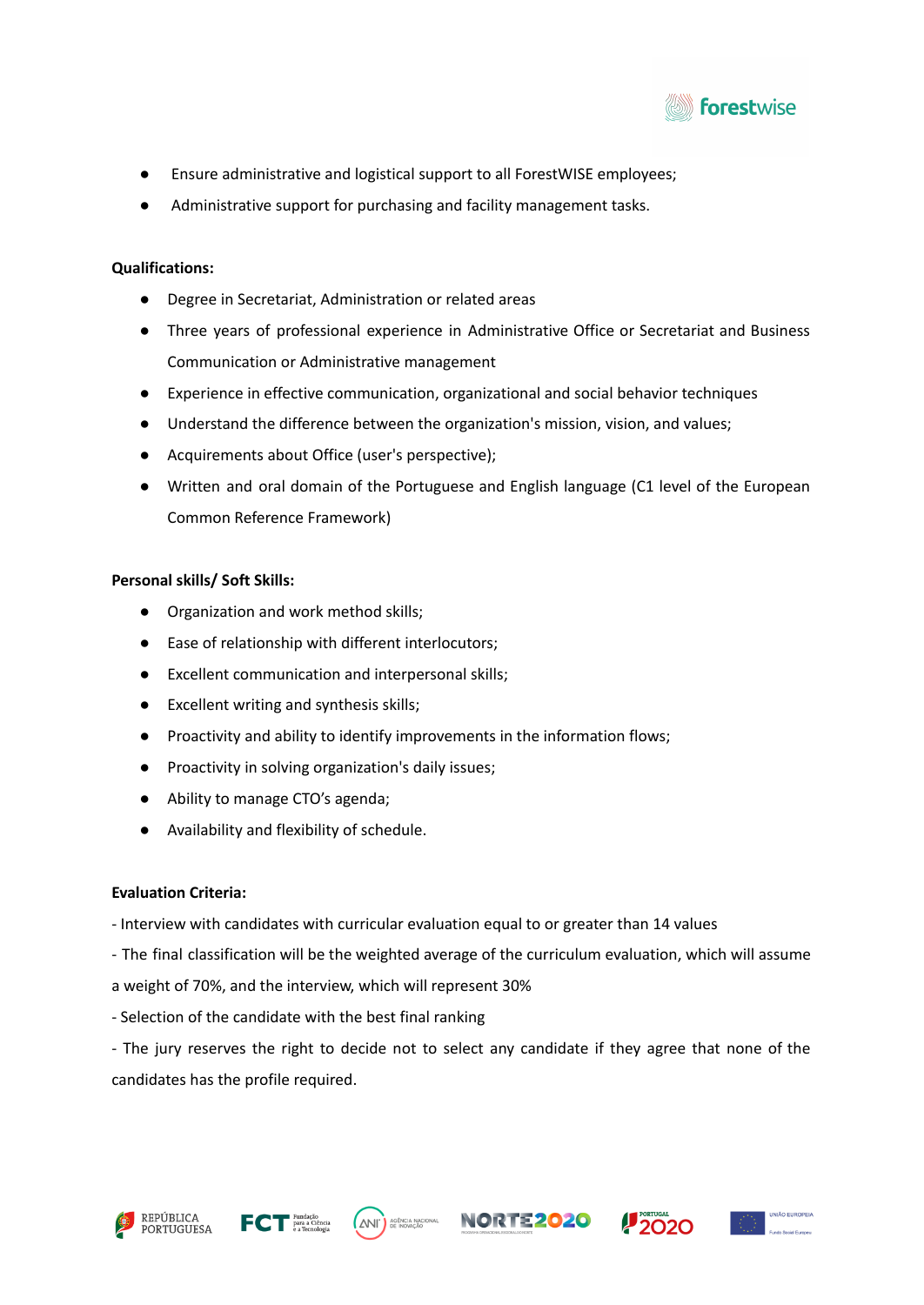

- Ensure administrative and logistical support to all ForestWISE employees;
- Administrative support for purchasing and facility management tasks.

## **Qualifications:**

- Degree in Secretariat, Administration or related areas
- Three years of professional experience in Administrative Office or Secretariat and Business Communication or Administrative management
- Experience in effective communication, organizational and social behavior techniques
- Understand the difference between the organization's mission, vision, and values;
- Acquirements about Office (user's perspective);
- Written and oral domain of the Portuguese and English language (C1 level of the European Common Reference Framework)

## **Personal skills/ Soft Skills:**

- Organization and work method skills;
- Ease of relationship with different interlocutors;
- Excellent communication and interpersonal skills;
- Excellent writing and synthesis skills;
- Proactivity and ability to identify improvements in the information flows;
- Proactivity in solving organization's daily issues;
- Ability to manage CTO's agenda;
- Availability and flexibility of schedule.

# **Evaluation Criteria:**

- Interview with candidates with curricular evaluation equal to or greater than 14 values
- The final classification will be the weighted average of the curriculum evaluation, which will assume
- a weight of 70%, and the interview, which will represent 30%
- Selection of the candidate with the best final ranking

- The jury reserves the right to decide not to select any candidate if they agree that none of the candidates has the profile required.